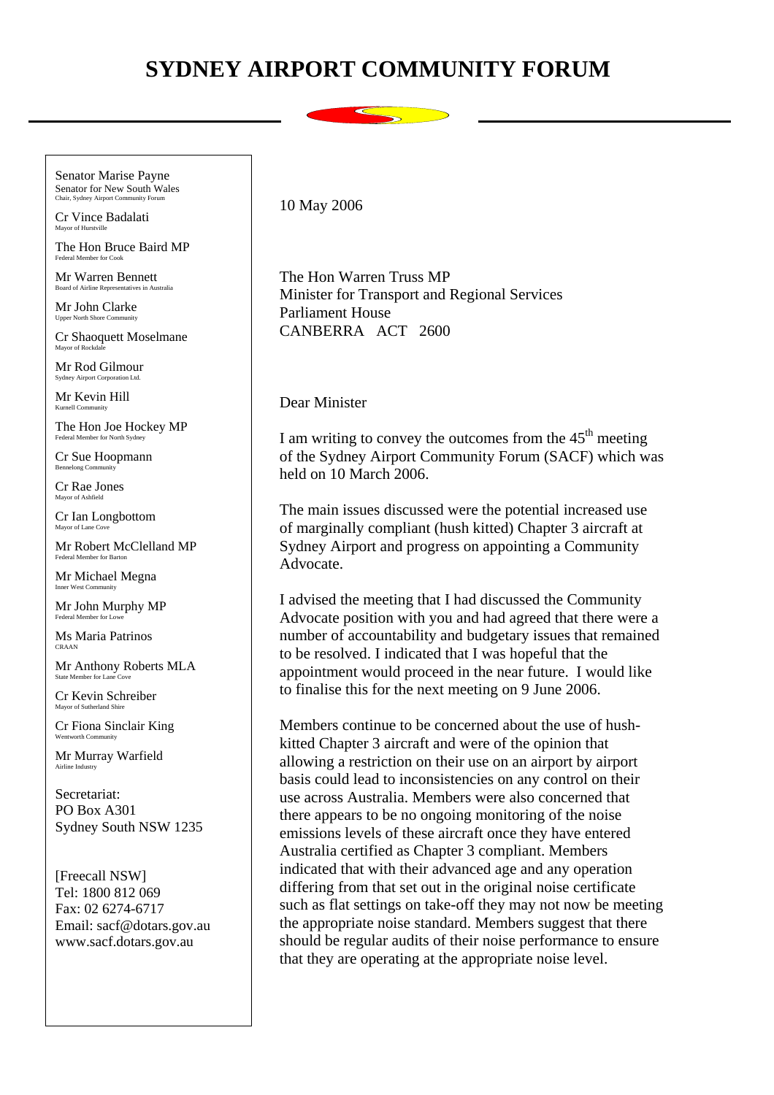## **SYDNEY AIRPORT COMMUNITY FORUM**

. Chair, Sydney Airport Community Forum  $10$  May  $2006$ Senator Marise Payne Senator for New South Wales

Cr Vince Badalati Mayor of Hurstville

The Hon Bruce Baird MP Federal Member for Cook

Mr Warren Bennett oard of Airline Representatives in Australia

Mr John Clarke Upper North Shore Comm

Cr Shaoquett Moselmane Mayor of Rockd

Mr Rod Gilmour Sydney Airport Corporation Ltd.

Mr Kevin Hill Kurnell Community

The Hon Joe Hockey MP Federal Member for North Sydney

Cr Sue Hoopmann Bennelong Community

Cr Rae Jones Mayor of Ashfield

Cr Ian Longbottom Mayor of Lane Cov

Mr Robert McClelland MP Federal Member for Barton

Mr Michael Megna Inner West Community

Mr John Murphy MP

Ms Maria Patrinos CRAAN

Mr Anthony Roberts MLA State Member for Lane Cov

Cr Kevin Schreiber Mayor of Sutherland Shire

Cr Fiona Sinclair King

Mr Murray Warfield Airline Industry

Secretariat: PO Box A301 Sydney South NSW 1235

[Freecall NSW] Tel: 1800 812 069 Fax: 02 6274-6717 Email: sacf@dotars.gov.au www.sacf.dotars.gov.au

The Hon Warren Truss MP Minister for Transport and Regional Services Parliament House CANBERRA ACT 2600

Dear Minister

I am writing to convey the outcomes from the  $45<sup>th</sup>$  meeting of the Sydney Airport Community Forum (SACF) which was held on 10 March 2006.

The main issues discussed were the potential increased use of marginally compliant (hush kitted) Chapter 3 aircraft at Sydney Airport and progress on appointing a Community Advocate.

I advised the meeting that I had discussed the Community Advocate position with you and had agreed that there were a number of accountability and budgetary issues that remained to be resolved. I indicated that I was hopeful that the appointment would proceed in the near future. I would like to finalise this for the next meeting on 9 June 2006.

Members continue to be concerned about the use of hushkitted Chapter 3 aircraft and were of the opinion that allowing a restriction on their use on an airport by airport basis could lead to inconsistencies on any control on their use across Australia. Members were also concerned that there appears to be no ongoing monitoring of the noise emissions levels of these aircraft once they have entered Australia certified as Chapter 3 compliant. Members indicated that with their advanced age and any operation differing from that set out in the original noise certificate such as flat settings on take-off they may not now be meeting the appropriate noise standard. Members suggest that there should be regular audits of their noise performance to ensure that they are operating at the appropriate noise level.